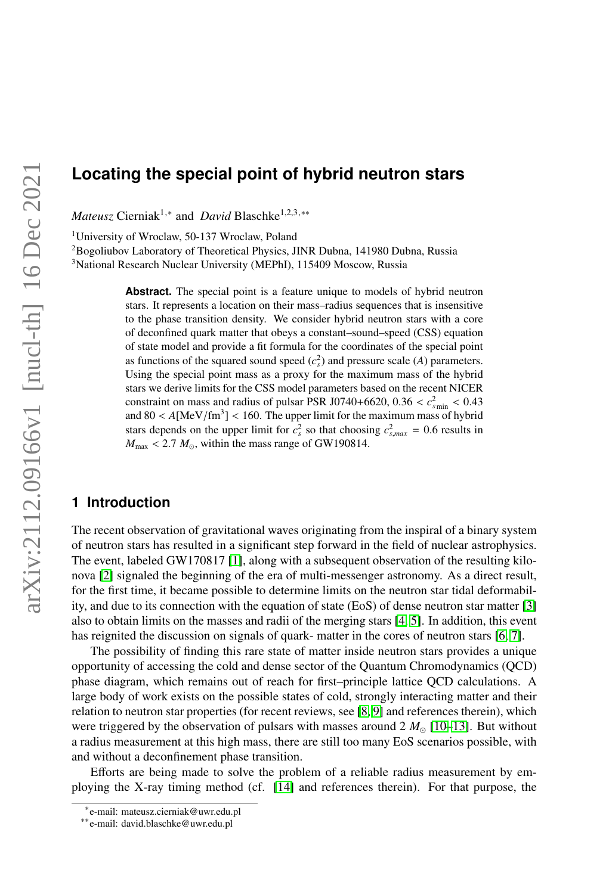# **Locating the special point of hybrid neutron stars**

*Mateusz* Cierniak<sup>1,∗</sup> and *David* Blaschke<sup>1,2,3,</sup>∗∗

<sup>1</sup>University of Wroclaw, 50-137 Wroclaw, Poland

<sup>2</sup>Bogoliubov Laboratory of Theoretical Physics, JINR Dubna, 141980 Dubna, Russia <sup>3</sup>National Research Nuclear University (MEPhI), 115409 Moscow, Russia

> **Abstract.** The special point is a feature unique to models of hybrid neutron stars. It represents a location on their mass–radius sequences that is insensitive to the phase transition density. We consider hybrid neutron stars with a core of deconfined quark matter that obeys a constant–sound–speed (CSS) equation of state model and provide a fit formula for the coordinates of the special point as functions of the squared sound speed  $(c_s^2)$  and pressure scale (*A*) parameters. Using the special point mass as a proxy for the maximum mass of the hybrid stars we derive limits for the CSS model parameters based on the recent NICER constraint on mass and radius of pulsar PSR J0740+6620,  $0.36 < c<sup>2</sup>_{\text{spin}} < 0.43$ <br>and  $80 < 4$  MeV/fm<sup>3</sup>1 < 160. The upper limit for the maximum mass of bybrid and  $80 < A \text{[MeV/fm}^3] < 160$ . The upper limit for the maximum mass of hybrid stars depends on the upper limit for  $c^2$  so that choosing  $c^2 = 0.6$  results in stars depends on the upper limit for  $c_s^2$  so that choosing  $c_{s,max}^2 = 0.6$  results in  $M \leq 2.7 M$  within the mass range of GW190814  $M_{\text{max}}$  < 2.7  $M_{\odot}$ , within the mass range of GW190814.

## **1 Introduction**

The recent observation of gravitational waves originating from the inspiral of a binary system of neutron stars has resulted in a significant step forward in the field of nuclear astrophysics. The event, labeled GW170817 [\[1\]](#page-6-0), along with a subsequent observation of the resulting kilonova [\[2\]](#page-6-1) signaled the beginning of the era of multi-messenger astronomy. As a direct result, for the first time, it became possible to determine limits on the neutron star tidal deformability, and due to its connection with the equation of state (EoS) of dense neutron star matter [\[3\]](#page-6-2) also to obtain limits on the masses and radii of the merging stars [\[4,](#page-6-3) [5\]](#page-6-4). In addition, this event has reignited the discussion on signals of quark- matter in the cores of neutron stars [\[6,](#page-6-5) [7\]](#page-6-6).

The possibility of finding this rare state of matter inside neutron stars provides a unique opportunity of accessing the cold and dense sector of the Quantum Chromodynamics (QCD) phase diagram, which remains out of reach for first–principle lattice QCD calculations. A large body of work exists on the possible states of cold, strongly interacting matter and their relation to neutron star properties (for recent reviews, see [\[8,](#page-6-7) [9\]](#page-6-8) and references therein), which were triggered by the observation of pulsars with masses around  $2 M_{\odot}$  [\[10–](#page-6-9)[13\]](#page-6-10). But without a radius measurement at this high mass, there are still too many EoS scenarios possible, with and without a deconfinement phase transition.

Efforts are being made to solve the problem of a reliable radius measurement by employing the X-ray timing method (cf. [\[14\]](#page-6-11) and references therein). For that purpose, the

<sup>∗</sup> e-mail: mateusz.cierniak@uwr.edu.pl

<sup>∗∗</sup>e-mail: david.blaschke@uwr.edu.pl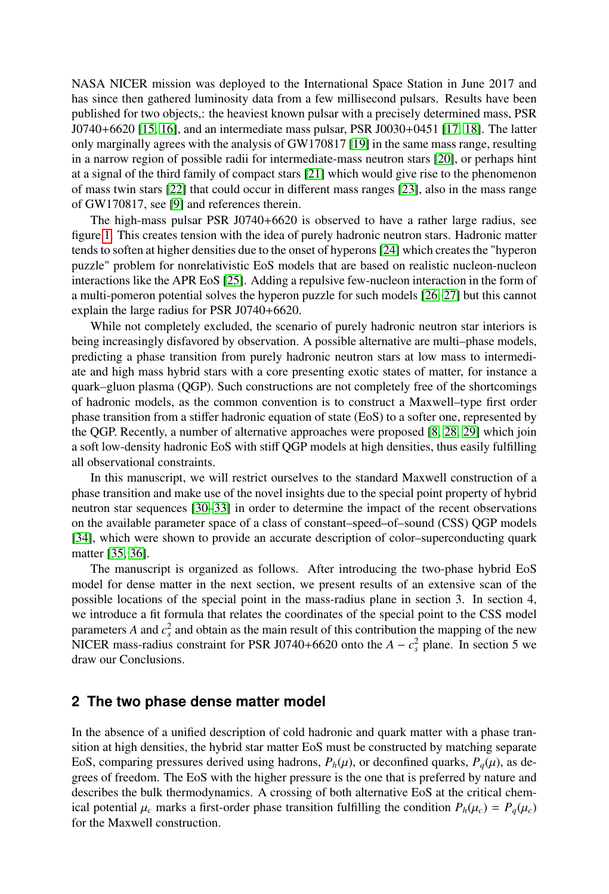NASA NICER mission was deployed to the International Space Station in June 2017 and has since then gathered luminosity data from a few millisecond pulsars. Results have been published for two objects,: the heaviest known pulsar with a precisely determined mass, PSR J0740+6620 [\[15,](#page-6-12) [16\]](#page-6-13), and an intermediate mass pulsar, PSR J0030+0451 [\[17,](#page-6-14) [18\]](#page-6-15). The latter only marginally agrees with the analysis of GW170817 [\[19\]](#page-6-16) in the same mass range, resulting in a narrow region of possible radii for intermediate-mass neutron stars [\[20\]](#page-6-17), or perhaps hint at a signal of the third family of compact stars [\[21\]](#page-6-18) which would give rise to the phenomenon of mass twin stars [\[22\]](#page-6-19) that could occur in different mass ranges [\[23\]](#page-6-20), also in the mass range of GW170817, see [\[9\]](#page-6-8) and references therein.

The high-mass pulsar PSR J0740+6620 is observed to have a rather large radius, see figure [1.](#page-3-0) This creates tension with the idea of purely hadronic neutron stars. Hadronic matter tends to soften at higher densities due to the onset of hyperons [\[24\]](#page-6-21) which creates the "hyperon puzzle" problem for nonrelativistic EoS models that are based on realistic nucleon-nucleon interactions like the APR EoS [\[25\]](#page-6-22). Adding a repulsive few-nucleon interaction in the form of a multi-pomeron potential solves the hyperon puzzle for such models [\[26,](#page-6-23) [27\]](#page-6-24) but this cannot explain the large radius for PSR J0740+6620.

While not completely excluded, the scenario of purely hadronic neutron star interiors is being increasingly disfavored by observation. A possible alternative are multi–phase models, predicting a phase transition from purely hadronic neutron stars at low mass to intermediate and high mass hybrid stars with a core presenting exotic states of matter, for instance a quark–gluon plasma (QGP). Such constructions are not completely free of the shortcomings of hadronic models, as the common convention is to construct a Maxwell–type first order phase transition from a stiffer hadronic equation of state (EoS) to a softer one, represented by the QGP. Recently, a number of alternative approaches were proposed [\[8,](#page-6-7) [28,](#page-7-0) [29\]](#page-7-1) which join a soft low-density hadronic EoS with stiff QGP models at high densities, thus easily fulfilling all observational constraints.

In this manuscript, we will restrict ourselves to the standard Maxwell construction of a phase transition and make use of the novel insights due to the special point property of hybrid neutron star sequences [\[30–](#page-7-2)[33\]](#page-7-3) in order to determine the impact of the recent observations on the available parameter space of a class of constant–speed–of–sound (CSS) QGP models [\[34\]](#page-7-4), which were shown to provide an accurate description of color–superconducting quark matter [\[35,](#page-7-5) [36\]](#page-7-6).

The manuscript is organized as follows. After introducing the two-phase hybrid EoS model for dense matter in the next section, we present results of an extensive scan of the possible locations of the special point in the mass-radius plane in section 3. In section 4, we introduce a fit formula that relates the coordinates of the special point to the CSS model parameters  $A$  and  $c_s^2$  and obtain as the main result of this contribution the mapping of the new NICER mass-radius constraint for PSR J0740+6620 onto the  $A - c_s^2$  plane. In section 5 we draw our Conclusions.

## **2 The two phase dense matter model**

In the absence of a unified description of cold hadronic and quark matter with a phase transition at high densities, the hybrid star matter EoS must be constructed by matching separate EoS, comparing pressures derived using hadrons,  $P_h(\mu)$ , or deconfined quarks,  $P_q(\mu)$ , as degrees of freedom. The EoS with the higher pressure is the one that is preferred by nature and describes the bulk thermodynamics. A crossing of both alternative EoS at the critical chemical potential  $\mu_c$  marks a first-order phase transition fulfilling the condition  $P_h(\mu_c) = P_a(\mu_c)$ for the Maxwell construction.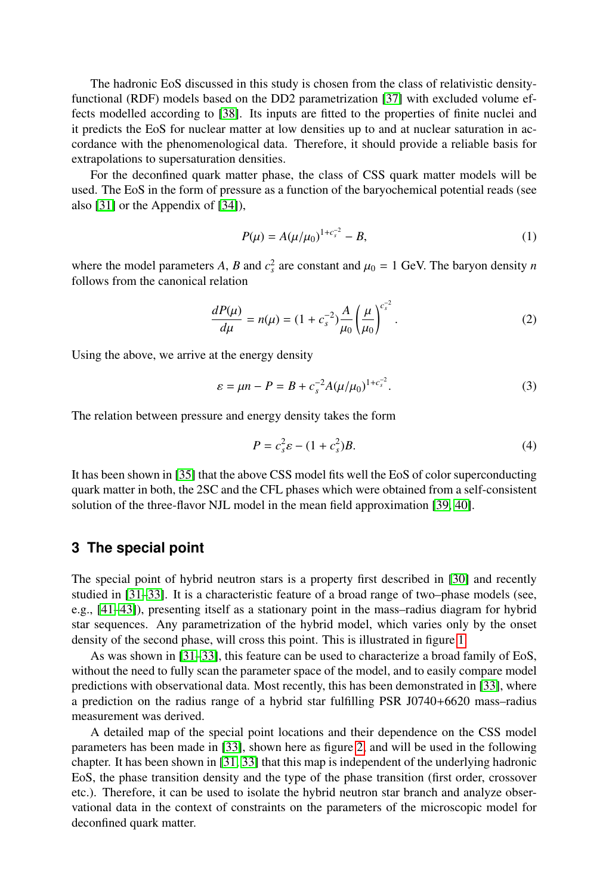The hadronic EoS discussed in this study is chosen from the class of relativistic densityfunctional (RDF) models based on the DD2 parametrization [\[37\]](#page-7-7) with excluded volume effects modelled according to [\[38\]](#page-7-8). Its inputs are fitted to the properties of finite nuclei and it predicts the EoS for nuclear matter at low densities up to and at nuclear saturation in accordance with the phenomenological data. Therefore, it should provide a reliable basis for extrapolations to supersaturation densities.

For the deconfined quark matter phase, the class of CSS quark matter models will be used. The EoS in the form of pressure as a function of the baryochemical potential reads (see also [\[31\]](#page-7-9) or the Appendix of [\[34\]](#page-7-4)),

$$
P(\mu) = A(\mu/\mu_0)^{1+c_s^{-2}} - B,\tag{1}
$$

where the model parameters *A*, *B* and  $c_s^2$  are constant and  $\mu_0 = 1$  GeV. The baryon density *n* follows from the canonical relation follows from the canonical relation

$$
\frac{dP(\mu)}{d\mu} = n(\mu) = (1 + c_s^{-2}) \frac{A}{\mu_0} \left(\frac{\mu}{\mu_0}\right)^{c_s^{-2}}.
$$
 (2)

Using the above, we arrive at the energy density

$$
\varepsilon = \mu n - P = B + c_s^{-2} A(\mu/\mu_0)^{1 + c_s^{-2}}.
$$
\n(3)

The relation between pressure and energy density takes the form

$$
P = c_s^2 \varepsilon - (1 + c_s^2)B.
$$
 (4)

It has been shown in [\[35\]](#page-7-5) that the above CSS model fits well the EoS of color superconducting quark matter in both, the 2SC and the CFL phases which were obtained from a self-consistent solution of the three-flavor NJL model in the mean field approximation [\[39,](#page-7-10) [40\]](#page-7-11).

## **3 The special point**

The special point of hybrid neutron stars is a property first described in [\[30\]](#page-7-2) and recently studied in [\[31](#page-7-9)[–33\]](#page-7-3). It is a characteristic feature of a broad range of two–phase models (see, e.g., [\[41](#page-7-12)[–43\]](#page-7-13)), presenting itself as a stationary point in the mass–radius diagram for hybrid star sequences. Any parametrization of the hybrid model, which varies only by the onset density of the second phase, will cross this point. This is illustrated in figure [1.](#page-3-0)

As was shown in [\[31–](#page-7-9)[33\]](#page-7-3), this feature can be used to characterize a broad family of EoS, without the need to fully scan the parameter space of the model, and to easily compare model predictions with observational data. Most recently, this has been demonstrated in [\[33\]](#page-7-3), where a prediction on the radius range of a hybrid star fulfilling PSR J0740+6620 mass–radius measurement was derived.

A detailed map of the special point locations and their dependence on the CSS model parameters has been made in [\[33\]](#page-7-3), shown here as figure [2,](#page-3-1) and will be used in the following chapter. It has been shown in [\[31,](#page-7-9) [33\]](#page-7-3) that this map is independent of the underlying hadronic EoS, the phase transition density and the type of the phase transition (first order, crossover etc.). Therefore, it can be used to isolate the hybrid neutron star branch and analyze observational data in the context of constraints on the parameters of the microscopic model for deconfined quark matter.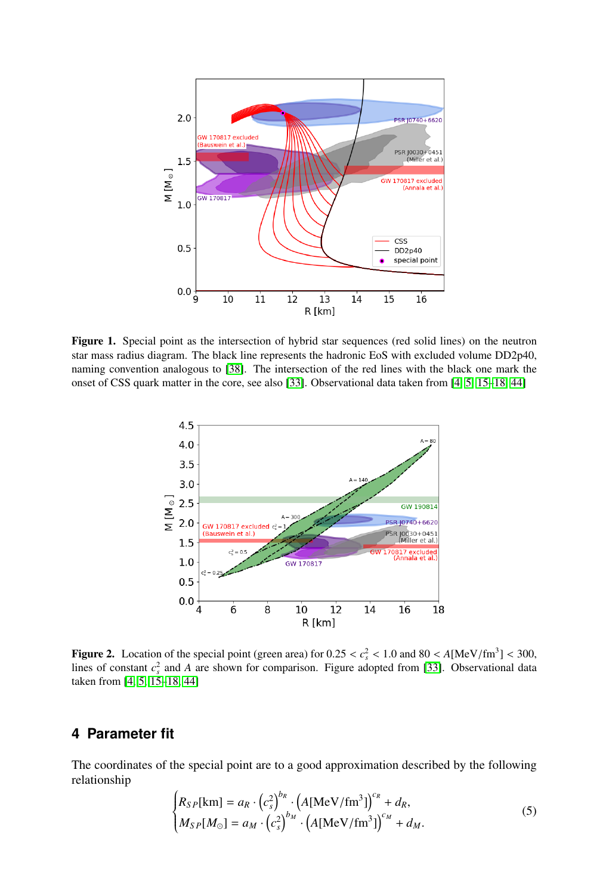

<span id="page-3-0"></span>Figure 1. Special point as the intersection of hybrid star sequences (red solid lines) on the neutron star mass radius diagram. The black line represents the hadronic EoS with excluded volume DD2p40, naming convention analogous to [\[38\]](#page-7-8). The intersection of the red lines with the black one mark the onset of CSS quark matter in the core, see also [\[33\]](#page-7-3). Observational data taken from [\[4,](#page-6-3) [5,](#page-6-4) [15](#page-6-12)[–18,](#page-6-15) [44\]](#page-7-14)



<span id="page-3-1"></span>**Figure 2.** Location of the special point (green area) for  $0.25 < c_s^2 < 1.0$  and  $80 < A[\text{MeV}/\text{fm}^3] < 300$ , lines of constant  $c^2$  and A are shown for comparison. Figure adopted from [331] Observational data lines of constant  $c_s^2$  and *A* are shown for comparison. Figure adopted from [\[33\]](#page-7-3). Observational data taken from [\[4,](#page-6-3) [5,](#page-6-4) [15](#page-6-12)[–18,](#page-6-15) [44\]](#page-7-14)

## **4 Parameter fit**

The coordinates of the special point are to a good approximation described by the following relationship

<span id="page-3-2"></span>
$$
\begin{cases}\nR_{SP}[\text{km}] = a_R \cdot \left(c_s^2\right)^{b_R} \cdot \left(A[\text{MeV}/\text{fm}^3]\right)^{c_R} + d_R, \\
M_{SP}[M_{\odot}] = a_M \cdot \left(c_s^2\right)^{b_M} \cdot \left(A[\text{MeV}/\text{fm}^3]\right)^{c_M} + d_M.\n\end{cases} \tag{5}
$$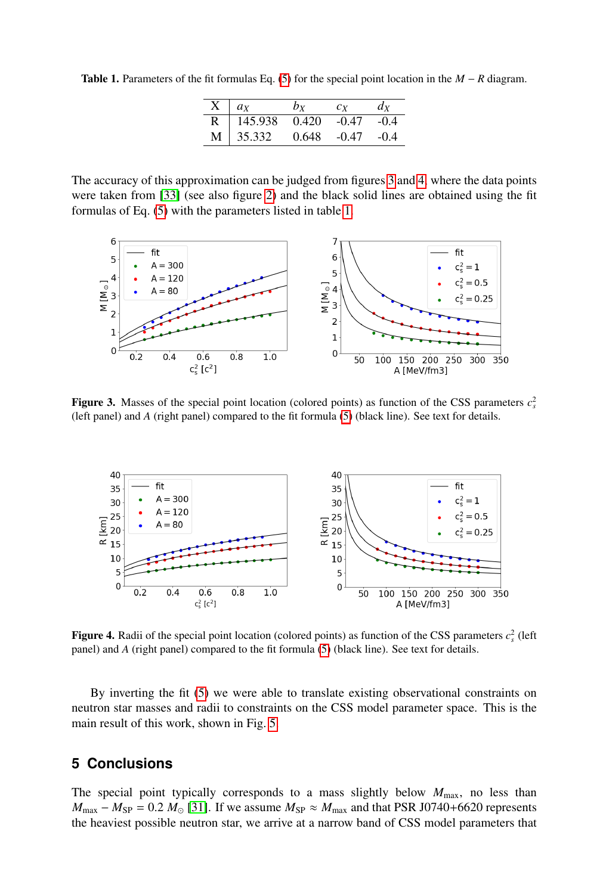<span id="page-4-2"></span>Table 1. Parameters of the fit formulas Eq. [\(5\)](#page-3-2) for the special point location in the *M* − *R* diagram.

| $\bar{X}$   $a_X$                       | $b_Y$ | c <sub>x</sub> | $d_{X}$ |
|-----------------------------------------|-------|----------------|---------|
| $\overline{R}$   145.938 0.420 -0.47    |       |                | $-0.4$  |
| $M \mid 35.332 \quad 0.648 \quad -0.47$ |       |                | $-0.4$  |

The accuracy of this approximation can be judged from figures [3](#page-4-0) and [4,](#page-4-1) where the data points were taken from [\[33\]](#page-7-3) (see also figure [2\)](#page-3-1) and the black solid lines are obtained using the fit formulas of Eq. [\(5\)](#page-3-2) with the parameters listed in table [1.](#page-4-2)



<span id="page-4-0"></span>**Figure 3.** Masses of the special point location (colored points) as function of the CSS parameters  $c_s^2$ (left panel) and *A* (right panel) compared to the fit formula [\(5\)](#page-3-2) (black line). See text for details.



<span id="page-4-1"></span>**Figure 4.** Radii of the special point location (colored points) as function of the CSS parameters  $c_s^2$  (left panel) and *A* (right panel) compared to the fit formula [\(5\)](#page-3-2) (black line). See text for details.

By inverting the fit [\(5\)](#page-3-2) we were able to translate existing observational constraints on neutron star masses and radii to constraints on the CSS model parameter space. This is the main result of this work, shown in Fig. [5.](#page-5-0)

## **5 Conclusions**

The special point typically corresponds to a mass slightly below  $M_{\text{max}}$ , no less than  $M_{\text{max}} - M_{\text{SP}} = 0.2 M_{\odot}$  [\[31\]](#page-7-9). If we assume  $M_{\text{SP}} \approx M_{\text{max}}$  and that PSR J0740+6620 represents the heaviest possible neutron star, we arrive at a narrow band of CSS model parameters that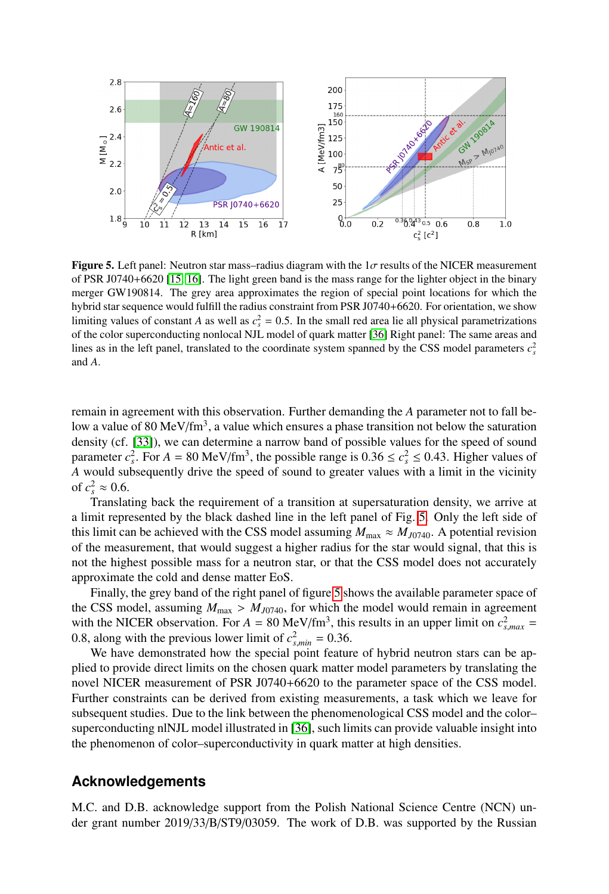

<span id="page-5-0"></span>**Figure 5.** Left panel: Neutron star mass–radius diagram with the  $1\sigma$  results of the NICER measurement of PSR J0740+6620 [\[15,](#page-6-12) [16\]](#page-6-13). The light green band is the mass range for the lighter object in the binary merger GW190814. The grey area approximates the region of special point locations for which the hybrid star sequence would fulfill the radius constraint from PSR J0740+6620. For orientation, we show limiting values of constant *A* as well as  $c_s^2 = 0.5$ . In the small red area lie all physical parametrizations of the color superconducting poplocal NII, model of quark matter [36] Right papel: The same areas and of the color superconducting nonlocal NJL model of quark matter [\[36\]](#page-7-6) Right panel: The same areas and lines as in the left panel, translated to the coordinate system spanned by the CSS model parameters  $c_s^2$ and *A*.

remain in agreement with this observation. Further demanding the *A* parameter not to fall below a value of 80 MeV/fm<sup>3</sup>, a value which ensures a phase transition not below the saturation density (cf. [\[33\]](#page-7-3)), we can determine a narrow band of possible values for the speed of sound parameter  $c_s^2$ . For  $A = 80 \text{ MeV}/\text{fm}^3$ , the possible range is  $0.36 \le c_s^2 \le 0.43$ . Higher values of A would subsequently drive the speed of sound to greater values with a limit in the vicinity *A* would subsequently drive the speed of sound to greater values with a limit in the vicinity of  $c_s^2 \approx 0.6$ .<br>Translat

Translating back the requirement of a transition at supersaturation density, we arrive at a limit represented by the black dashed line in the left panel of Fig. [5.](#page-5-0) Only the left side of this limit can be achieved with the CSS model assuming  $M_{\text{max}} \approx M_{J0740}$ . A potential revision of the measurement, that would suggest a higher radius for the star would signal, that this is not the highest possible mass for a neutron star, or that the CSS model does not accurately approximate the cold and dense matter EoS.

Finally, the grey band of the right panel of figure [5](#page-5-0) shows the available parameter space of the CSS model, assuming  $M_{\text{max}} > M_{J0740}$ , for which the model would remain in agreement with the NICER observation. For  $A = 80 \text{ MeV/fm}^3$ , this results in an upper limit on  $c_{s,max}^2 = 0.8$ <br>along with the previous lower limit of  $c^2 = 0.36$ 0.8, along with the previous lower limit of  $c_{s,min}^2 = 0.36$ .<br>We have demonstrated how the special point feature

We have demonstrated how the special point feature of hybrid neutron stars can be applied to provide direct limits on the chosen quark matter model parameters by translating the novel NICER measurement of PSR J0740+6620 to the parameter space of the CSS model. Further constraints can be derived from existing measurements, a task which we leave for subsequent studies. Due to the link between the phenomenological CSS model and the color– superconducting nlNJL model illustrated in [\[36\]](#page-7-6), such limits can provide valuable insight into the phenomenon of color–superconductivity in quark matter at high densities.

## **Acknowledgements**

M.C. and D.B. acknowledge support from the Polish National Science Centre (NCN) under grant number 2019/33/B/ST9/03059. The work of D.B. was supported by the Russian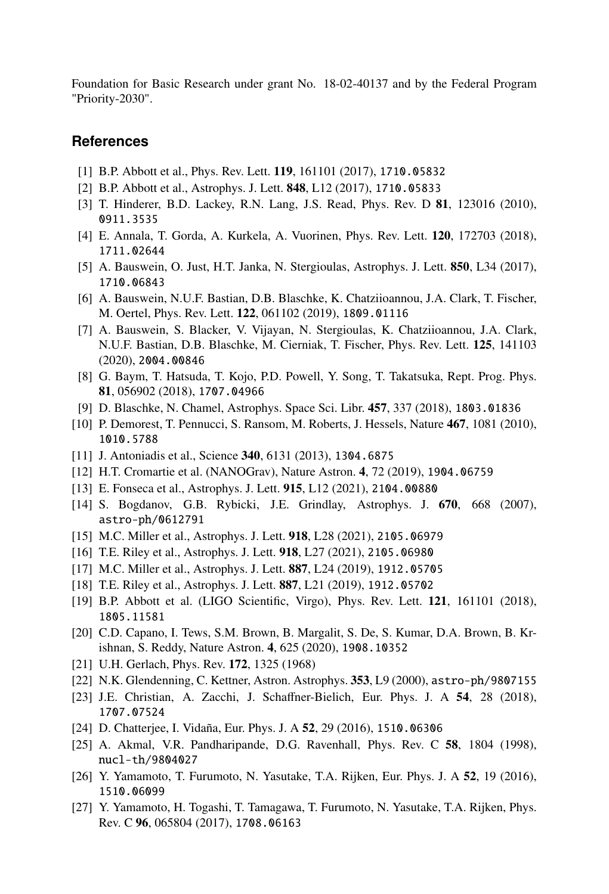Foundation for Basic Research under grant No. 18-02-40137 and by the Federal Program "Priority-2030".

## **References**

- <span id="page-6-0"></span>[1] B.P. Abbott et al., Phys. Rev. Lett. 119, 161101 (2017), 1710.05832
- <span id="page-6-1"></span>[2] B.P. Abbott et al., Astrophys. J. Lett. 848, L12 (2017), 1710.05833
- <span id="page-6-2"></span>[3] T. Hinderer, B.D. Lackey, R.N. Lang, J.S. Read, Phys. Rev. D **81**, 123016 (2010), 0911.3535
- <span id="page-6-3"></span>[4] E. Annala, T. Gorda, A. Kurkela, A. Vuorinen, Phys. Rev. Lett. 120, 172703 (2018), 1711.02644
- <span id="page-6-4"></span>[5] A. Bauswein, O. Just, H.T. Janka, N. Stergioulas, Astrophys. J. Lett. 850, L34 (2017), 1710.06843
- <span id="page-6-5"></span>[6] A. Bauswein, N.U.F. Bastian, D.B. Blaschke, K. Chatziioannou, J.A. Clark, T. Fischer, M. Oertel, Phys. Rev. Lett. 122, 061102 (2019), 1809.01116
- <span id="page-6-6"></span>[7] A. Bauswein, S. Blacker, V. Vijayan, N. Stergioulas, K. Chatziioannou, J.A. Clark, N.U.F. Bastian, D.B. Blaschke, M. Cierniak, T. Fischer, Phys. Rev. Lett. 125, 141103 (2020), 2004.00846
- <span id="page-6-7"></span>[8] G. Baym, T. Hatsuda, T. Kojo, P.D. Powell, Y. Song, T. Takatsuka, Rept. Prog. Phys. 81, 056902 (2018), 1707.04966
- <span id="page-6-8"></span>[9] D. Blaschke, N. Chamel, Astrophys. Space Sci. Libr. 457, 337 (2018), 1803.01836
- <span id="page-6-9"></span>[10] P. Demorest, T. Pennucci, S. Ransom, M. Roberts, J. Hessels, Nature 467, 1081 (2010), 1010.5788
- [11] J. Antoniadis et al., Science 340, 6131 (2013), 1304.6875
- [12] H.T. Cromartie et al. (NANOGrav), Nature Astron. 4, 72 (2019), 1904.06759
- <span id="page-6-10"></span>[13] E. Fonseca et al., Astrophys. J. Lett. 915, L12 (2021), 2104.00880
- <span id="page-6-11"></span>[14] S. Bogdanov, G.B. Rybicki, J.E. Grindlay, Astrophys. J. 670, 668 (2007), astro-ph/0612791
- <span id="page-6-12"></span>[15] M.C. Miller et al., Astrophys. J. Lett. 918, L28 (2021), 2105.06979
- <span id="page-6-13"></span>[16] T.E. Riley et al., Astrophys. J. Lett. **918**, L27 (2021), 2105.06980
- <span id="page-6-14"></span>[17] M.C. Miller et al., Astrophys. J. Lett. 887, L24 (2019), 1912.05705
- <span id="page-6-15"></span>[18] T.E. Riley et al., Astrophys. J. Lett. 887, L21 (2019), 1912.05702
- <span id="page-6-16"></span>[19] B.P. Abbott et al. (LIGO Scientific, Virgo), Phys. Rev. Lett. 121, 161101 (2018), 1805.11581
- <span id="page-6-17"></span>[20] C.D. Capano, I. Tews, S.M. Brown, B. Margalit, S. De, S. Kumar, D.A. Brown, B. Krishnan, S. Reddy, Nature Astron. 4, 625 (2020), 1908.10352
- <span id="page-6-18"></span>[21] U.H. Gerlach, Phys. Rev. 172, 1325 (1968)
- <span id="page-6-19"></span>[22] N.K. Glendenning, C. Kettner, Astron. Astrophys. 353, L9 (2000), astro-ph/9807155
- <span id="page-6-20"></span>[23] J.E. Christian, A. Zacchi, J. Schaffner-Bielich, Eur. Phys. J. A 54, 28 (2018), 1707.07524
- <span id="page-6-21"></span>[24] D. Chatterjee, I. Vidaña, Eur. Phys. J. A 52, 29 (2016), 1510.06306
- <span id="page-6-22"></span>[25] A. Akmal, V.R. Pandharipande, D.G. Ravenhall, Phys. Rev. C 58, 1804 (1998), nucl-th/9804027
- <span id="page-6-23"></span>[26] Y. Yamamoto, T. Furumoto, N. Yasutake, T.A. Rijken, Eur. Phys. J. A 52, 19 (2016), 1510.06099
- <span id="page-6-24"></span>[27] Y. Yamamoto, H. Togashi, T. Tamagawa, T. Furumoto, N. Yasutake, T.A. Rijken, Phys. Rev. C 96, 065804 (2017), 1708.06163